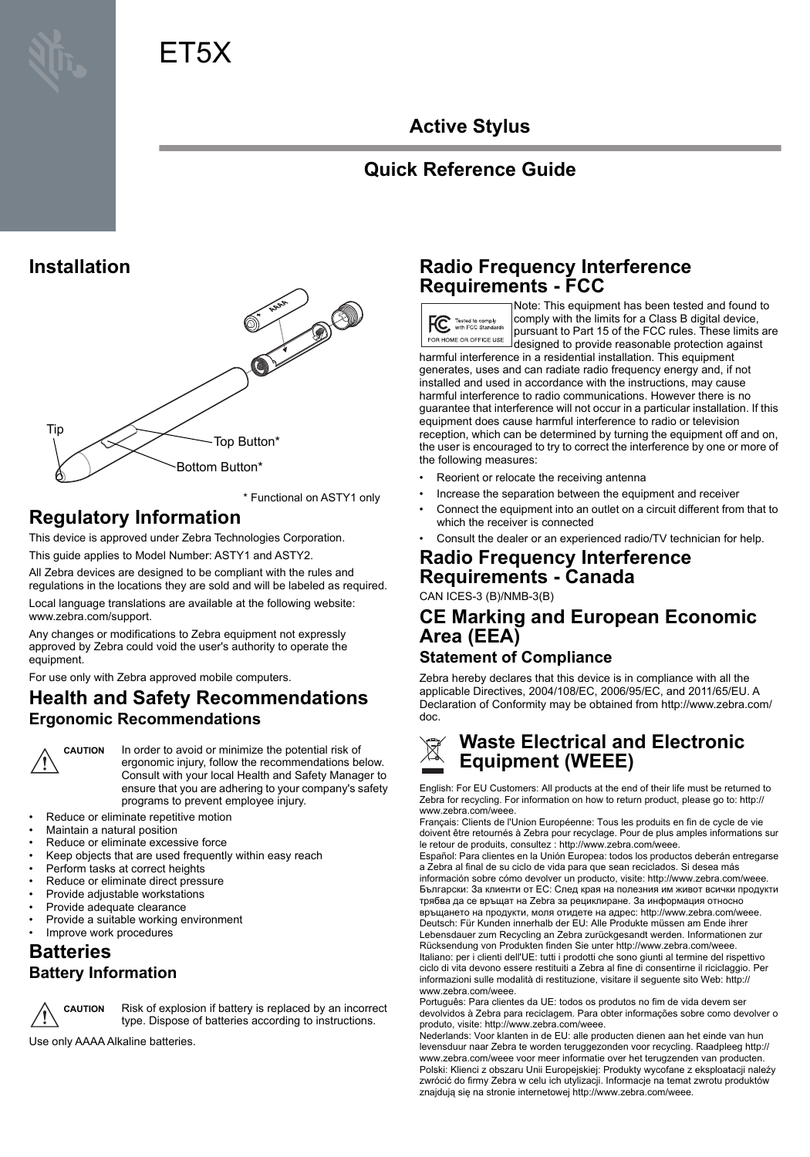# ET5X

# **Active Stylus**

# **Quick Reference Guide**

## **Installation**



\* Functional on ASTY1 only

# **Regulatory Information**

This device is approved under Zebra Technologies Corporation.

This guide applies to Model Number: ASTY1 and ASTY2.

All Zebra devices are designed to be compliant with the rules and regulations in the locations they are sold and will be labeled as required.

Local language translations are available at the following website: www.zebra.com/support.

Any changes or modifications to Zebra equipment not expressly approved by Zebra could void the user's authority to operate the equipment.

For use only with Zebra approved mobile computers.

### **Health and Safety Recommendations Ergonomic Recommendations**

**CAUTION** In order to avoid or minimize the potential risk of ergonomic injury, follow the recommendations below. Consult with your local Health and Safety Manager to ensure that you are adhering to your company's safety programs to prevent employee injury.

- Reduce or eliminate repetitive motion
- Maintain a natural position
- Reduce or eliminate excessive force
- Keep objects that are used frequently within easy reach
- Perform tasks at correct heights
- Reduce or eliminate direct pressure
- Provide adjustable workstations
- Provide adequate clearance
- Provide a suitable working environment
- Improve work procedures

## **Batteries Battery Information**



**CAUTION** Risk of explosion if battery is replaced by an incorrect type. Dispose of batteries according to instructions.

Use only AAAA Alkaline batteries.

## **Radio Frequency Interference Requirements - FCC**

FC Tested to comply .<br>DME OR OFFICE USE

Note: This equipment has been tested and found to comply with the limits for a Class B digital device, pursuant to Part 15 of the FCC rules. These limits are designed to provide reasonable protection against

harmful interference in a residential installation. This equipment generates, uses and can radiate radio frequency energy and, if not installed and used in accordance with the instructions, may cause harmful interference to radio communications. However there is no guarantee that interference will not occur in a particular installation. If this equipment does cause harmful interference to radio or television reception, which can be determined by turning the equipment off and on, the user is encouraged to try to correct the interference by one or more of the following measures:

- Reorient or relocate the receiving antenna
- Increase the separation between the equipment and receiver
- Connect the equipment into an outlet on a circuit different from that to which the receiver is connected
- Consult the dealer or an experienced radio/TV technician for help.

#### **Radio Frequency Interference Requirements - Canada**

CAN ICES-3 (B)/NMB-3(B)

# **CE Marking and European Economic Area (EEA)**

#### **Statement of Compliance**

Zebra hereby declares that this device is in compliance with all the applicable Directives, 2004/108/EC, 2006/95/EC, and 2011/65/EU. A Declaration of Conformity may be obtained from http://www.zebra.com/ doc.

### **Waste Electrical and Electronic Equipment (WEEE)**

English: For EU Customers: All products at the end of their life must be returned to<br>Zebra for recycling. For information on how to return product, please go to: http:// www.zebra.com/weee

Français: Clients de l'Union Européenne: Tous les produits en fin de cycle de vie doivent être retournés à Zebra pour recyclage. Pour de plus amples informations sur le retour de produits, consultez : http://www.zebra.com/weee.

Español: Para clientes en la Unión Europea: todos los productos deberán entregarse a Zebra al final de su ciclo de vida para que sean reciclados. Si desea más información sobre cómo devolver un producto, visite: http://www.zebra.com/weee. Български: За клиенти от ЕС: След края на полезния им живот всички продукти

трябва да се връщат на Zebra за рециклиране. За информация относно връщането на продукти, моля отидете на адрес: http://www.zebra.com/weee. Deutsch: Für Kunden innerhalb der EU: Alle Produkte müssen am Ende ihrer Lebensdauer zum Recycling an Zebra zurückgesandt werden. Informationen zur Rücksendung von Produkten finden Sie unter http://www.zebra.com/weee. Italiano: per i clienti dell'UE: tutti i prodotti che sono giunti al termine del rispettivo ciclo di vita devono essere restituiti a Zebra al fine di consentirne il riciclaggio. Per informazioni sulle modalità di restituzione, visitare il seguente sito Web: http:// www.zebra.com/weee.

Português: Para clientes da UE: todos os produtos no fim de vida devem ser devolvidos à Zebra para reciclagem. Para obter informações sobre como devolver o produto, visite: http://www.zebra.com/weee

Nederlands: Voor klanten in de EU: alle producten dienen aan het einde van hun levensduur naar Zebra te worden teruggezonden voor recycling. Raadpleeg http:// www.zebra.com/weee voor meer informatie over het terugzenden van producten. Polski: Klienci z obszaru Unii Europejskiej: Produkty wycofane z eksploatacji należy zwrócić do firmy Zebra w celu ich utylizacji. Informacje na temat zwrotu produktów znajdują się na stronie internetowej http://www.zebra.com/weee.